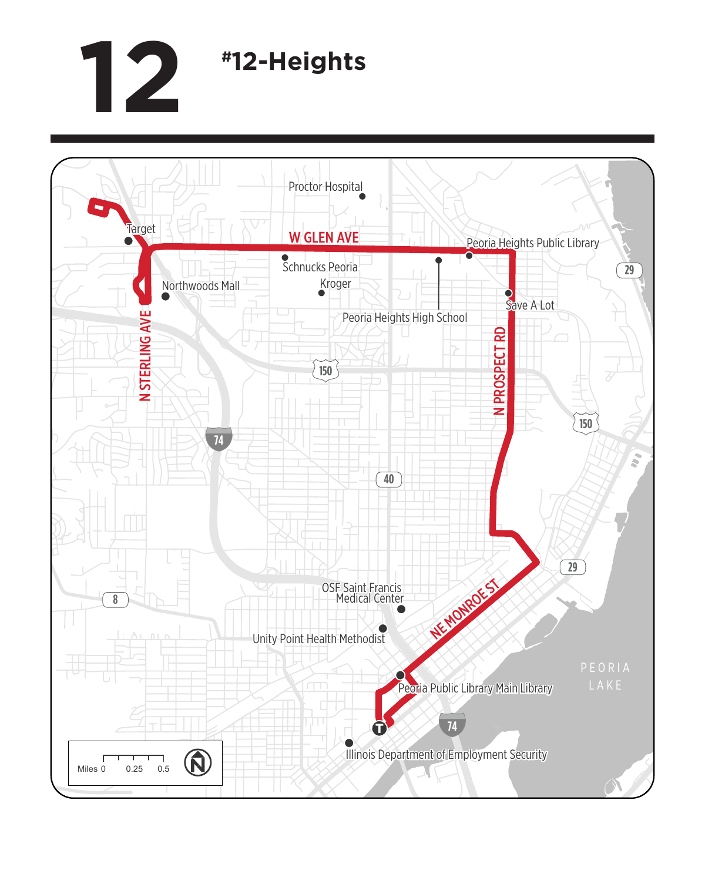